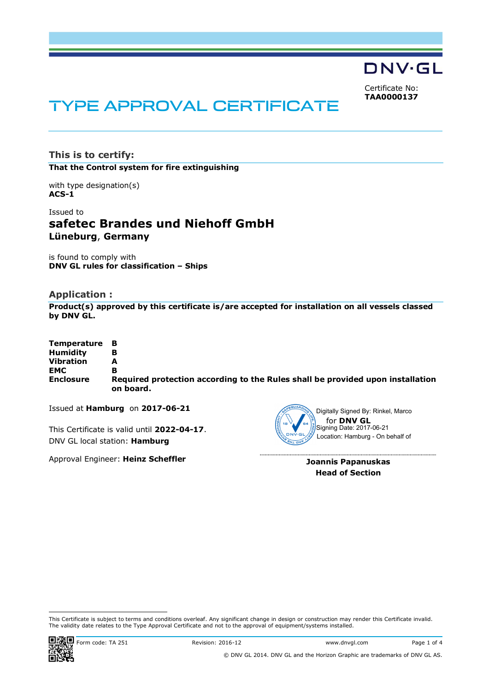DNV·GL

Certificate No: **TAA0000137**

# TYPE APPROVAL CERTIFICATE

**This is to certify: That the Control system for fire extinguishing**

with type designation(s) **ACS-1**

# Issued to **safetec Brandes und Niehoff GmbH Lüneburg**, **Germany**

is found to comply with **DNV GL rules for classification – Ships**

# **Application :**

**Product(s) approved by this certificate is/are accepted for installation on all vessels classed by DNV GL.**

| Temperature B    |                                                                                             |
|------------------|---------------------------------------------------------------------------------------------|
| <b>Humidity</b>  |                                                                                             |
| <b>Vibration</b> | А                                                                                           |
| <b>EMC</b>       | в                                                                                           |
| <b>Enclosure</b> | Required protection according to the Rules shall be provided upon installation<br>on board. |

Issued at **Hamburg** on **2017-06-21**

This Certificate is valid until **2022-04-17**. DNV GL local station: **Hamburg**

Approval Engineer: **Heinz Scheffler**



for **DNV GL** Signing Date: 2017-06-21 Location: Hamburg - On behalf of

**Joannis Papanuskas Head of Section**

This Certificate is subject to terms and conditions overleaf. Any significant change in design or construction may render this Certificate invalid. The validity date relates to the Type Approval Certificate and not to the approval of equipment/systems installed.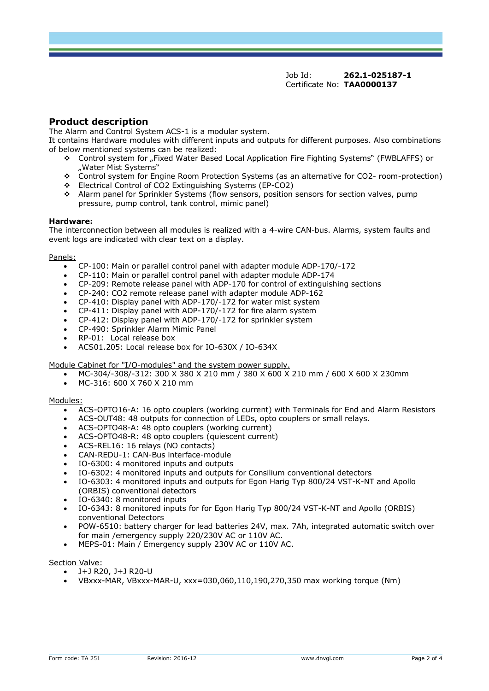Job Id: **262.1-025187-1** Certificate No: **TAA0000137**

# **Product description**

The Alarm and Control System ACS-1 is a modular system.

It contains Hardware modules with different inputs and outputs for different purposes. Also combinations of below mentioned systems can be realized:

- v Control system for "Fixed Water Based Local Application Fire Fighting Systems" (FWBLAFFS) or "Water Mist Systems"
- v Control system for Engine Room Protection Systems (as an alternative for CO2- room-protection)
- $\div$  Electrical Control of CO2 Extinguishing Systems (EP-CO2)
- v Alarm panel for Sprinkler Systems (flow sensors, position sensors for section valves, pump pressure, pump control, tank control, mimic panel)

#### **Hardware:**

The interconnection between all modules is realized with a 4-wire CAN-bus. Alarms, system faults and event logs are indicated with clear text on a display.

#### Panels:

- · CP-100: Main or parallel control panel with adapter module ADP-170/-172
- · CP-110: Main or parallel control panel with adapter module ADP-174
- · CP-209: Remote release panel with ADP-170 for control of extinguishing sections
- · CP-240: CO2 remote release panel with adapter module ADP-162
- · CP-410: Display panel with ADP-170/-172 for water mist system
- · CP-411: Display panel with ADP-170/-172 for fire alarm system
- · CP-412: Display panel with ADP-170/-172 for sprinkler system
- · CP-490: Sprinkler Alarm Mimic Panel
- RP-01: Local release box
- · ACS01.205: Local release box for IO-630X / IO-634X

#### Module Cabinet for "I/O-modules" and the system power supply.

- · MC-304/-308/-312: 300 X 380 X 210 mm / 380 X 600 X 210 mm / 600 X 600 X 230mm
- · MC-316: 600 X 760 X 210 mm

#### Modules:

- · ACS-OPTO16-A: 16 opto couplers (working current) with Terminals for End and Alarm Resistors
- · ACS-OUT48: 48 outputs for connection of LEDs, opto couplers or small relays.
- ACS-OPTO48-A: 48 opto couplers (working current)
- ACS-OPTO48-R: 48 opto couplers (quiescent current)
- · ACS-REL16: 16 relays (NO contacts)
- · CAN-REDU-1: CAN-Bus interface-module
- · IO-6300: 4 monitored inputs and outputs
- · IO-6302: 4 monitored inputs and outputs for Consilium conventional detectors
- · IO-6303: 4 monitored inputs and outputs for Egon Harig Typ 800/24 VST-K-NT and Apollo (ORBIS) conventional detectors
- · IO-6340: 8 monitored inputs
- · IO-6343: 8 monitored inputs for for Egon Harig Typ 800/24 VST-K-NT and Apollo (ORBIS) conventional Detectors
- · POW-6510: battery charger for lead batteries 24V, max. 7Ah, integrated automatic switch over for main /emergency supply 220/230V AC or 110V AC.
- MEPS-01: Main / Emergency supply 230V AC or 110V AC.

#### Section Valve:

- · J+J R20, J+J R20-U
- · VBxxx-MAR, VBxxx-MAR-U, xxx=030,060,110,190,270,350 max working torque (Nm)